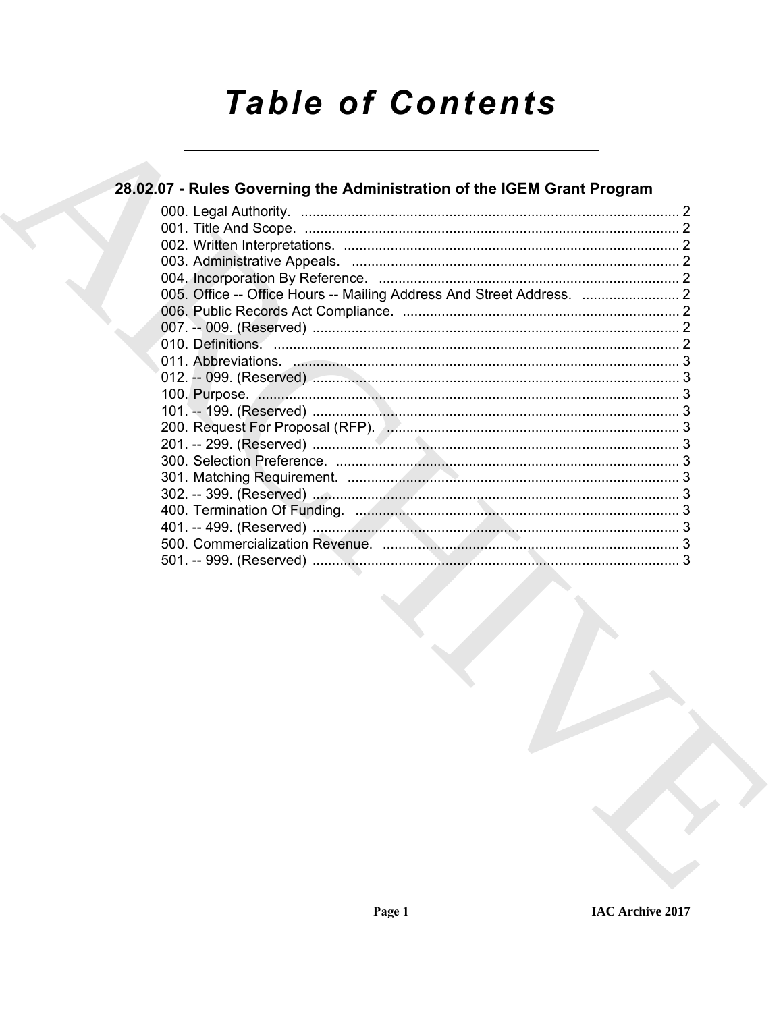# **Table of Contents**

### 28.02.07 - Rules Governing the Administration of the IGEM Grant Program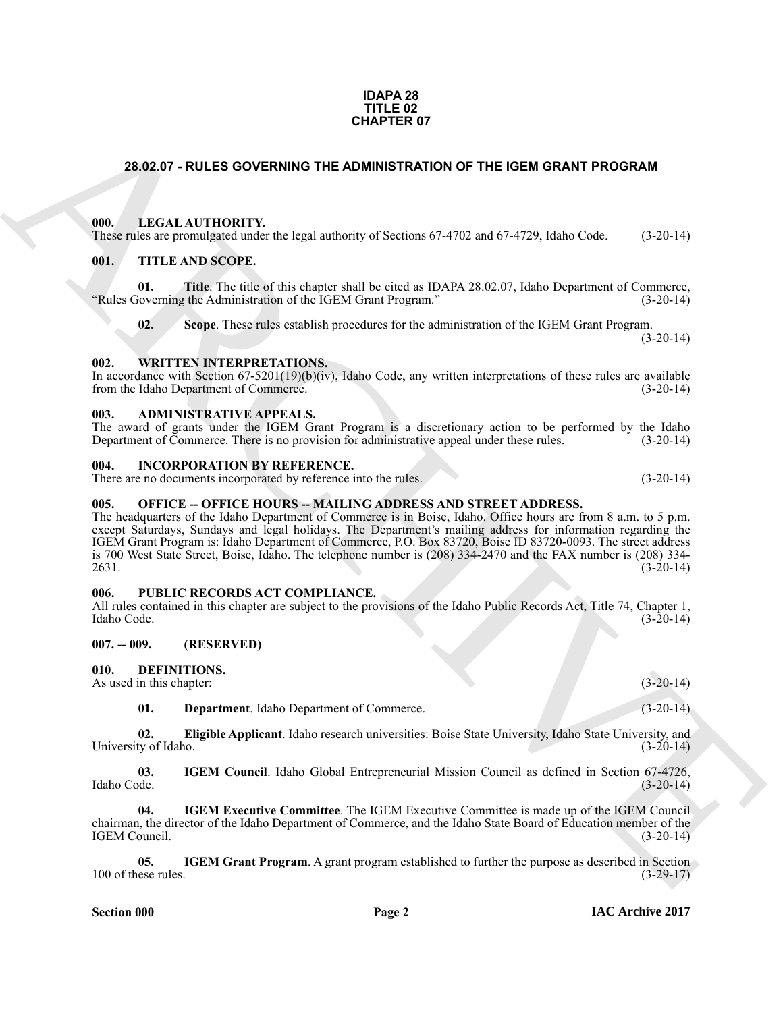### **IDAPA 28 TITLE 02 CHAPTER 07**

### <span id="page-1-0"></span>**28.02.07 - RULES GOVERNING THE ADMINISTRATION OF THE IGEM GRANT PROGRAM**

### <span id="page-1-1"></span>**000. LEGAL AUTHORITY.**

These rules are promulgated under the legal authority of Sections 67-4702 and 67-4729, Idaho Code. (3-20-14)

### <span id="page-1-2"></span>**001. TITLE AND SCOPE.**

**01. Title**. The title of this chapter shall be cited as IDAPA 28.02.07, Idaho Department of Commerce, "Rules Governing the Administration of the IGEM Grant Program." (3-20-14)

**02. Scope**. These rules establish procedures for the administration of the IGEM Grant Program.  $(3-20-14)$ 

### <span id="page-1-3"></span>**002. WRITTEN INTERPRETATIONS.**

In accordance with Section 67-5201(19)(b)(iv), Idaho Code, any written interpretations of these rules are available from the Idaho Department of Commerce. from the Idaho Department of Commerce.

### <span id="page-1-4"></span>**003. ADMINISTRATIVE APPEALS.**

The award of grants under the IGEM Grant Program is a discretionary action to be performed by the Idaho Department of Commerce. There is no provision for administrative appeal under these rules. (3-20-14) Department of Commerce. There is no provision for administrative appeal under these rules.

#### <span id="page-1-5"></span>**004. INCORPORATION BY REFERENCE.**

There are no documents incorporated by reference into the rules. (3-20-14)

### <span id="page-1-6"></span>005. OFFICE -- OFFICE HOURS -- MAILING ADDRESS AND STREET ADDRESS.

**CHAPTER OF**<br>
28.62.07 - ROLES GOVERNING THE ADMINISTRATION OF THE IGEM GRANT PROGRAM<br>
100. LEGAL AUTITIONTY: the legal subsidity of Section 67.4702 and 67.4758. Islate Code (3.26.14)<br>
100. THE AND SCOPE.<br>
100. THE AND SC The headquarters of the Idaho Department of Commerce is in Boise, Idaho. Office hours are from 8 a.m. to 5 p.m. except Saturdays, Sundays and legal holidays. The Department's mailing address for information regarding the IGEM Grant Program is: Idaho Department of Commerce, P.O. Box 83720, Boise ID 83720-0093. The street address is 700 West State Street, Boise, Idaho. The telephone number is (208) 334-2470 and the FAX number is (208) 334- 2631. (3-20-14)

### <span id="page-1-7"></span>**006. PUBLIC RECORDS ACT COMPLIANCE.**

All rules contained in this chapter are subject to the provisions of the Idaho Public Records Act, Title 74, Chapter 1, Idaho Code. (3-20-14)

### <span id="page-1-8"></span>**007. -- 009. (RESERVED)**

### <span id="page-1-10"></span><span id="page-1-9"></span>**010. DEFINITIONS.**

As used in this chapter: (3-20-14)

<span id="page-1-13"></span><span id="page-1-12"></span><span id="page-1-11"></span>**01. Department**. Idaho Department of Commerce. (3-20-14)

**02. Eligible Applicant**. Idaho research universities: Boise State University, Idaho State University, and ty of Idaho. (3-20-14) University of Idaho.

**03. IGEM Council**. Idaho Global Entrepreneurial Mission Council as defined in Section 67-4726, Idaho Code. (3-20-14) Idaho Code. (3-20-14)

<span id="page-1-14"></span>**04. IGEM Executive Committee**. The IGEM Executive Committee is made up of the IGEM Council chairman, the director of the Idaho Department of Commerce, and the Idaho State Board of Education member of the IGEM Council.

<span id="page-1-15"></span>**05. IGEM Grant Program**. A grant program established to further the purpose as described in Section 100 of these rules. (3-29-17)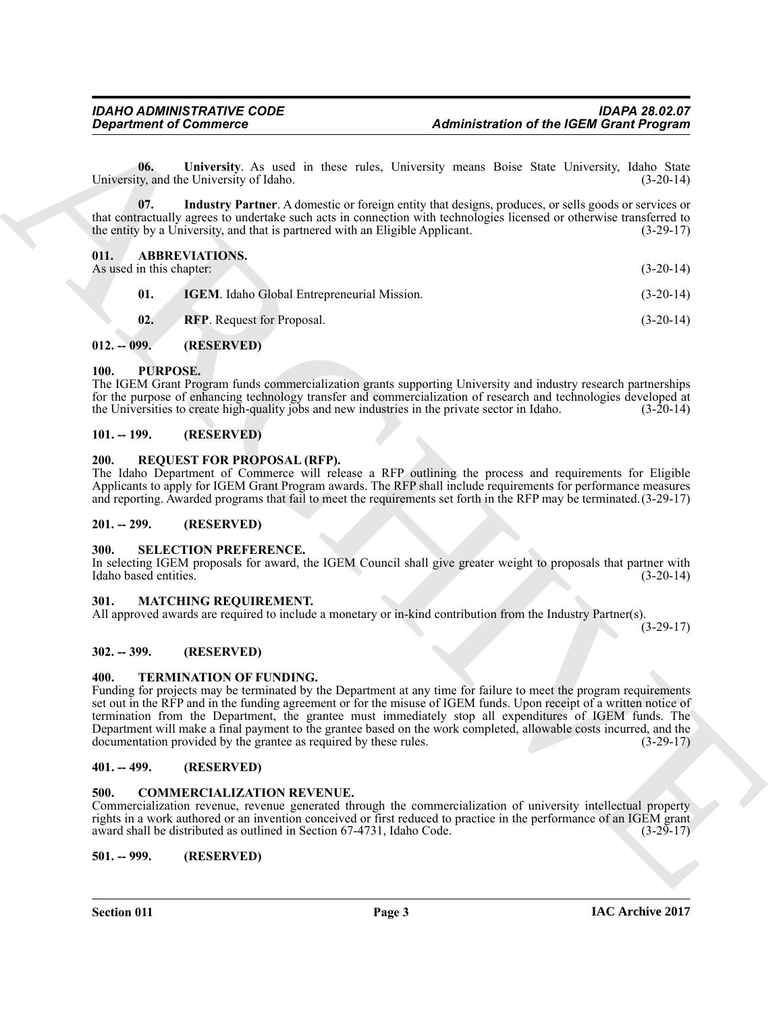<span id="page-2-18"></span>

|                                  | <b>Department of Commerce</b>                                                                                                                                                                                                                                                                                                                                                                                                                                                                                                                                                    | <b>Administration of the IGEM Grant Program</b> |
|----------------------------------|----------------------------------------------------------------------------------------------------------------------------------------------------------------------------------------------------------------------------------------------------------------------------------------------------------------------------------------------------------------------------------------------------------------------------------------------------------------------------------------------------------------------------------------------------------------------------------|-------------------------------------------------|
| 06.                              | University. As used in these rules, University means Boise State University, Idaho State<br>University, and the University of Idaho.                                                                                                                                                                                                                                                                                                                                                                                                                                             | $(3-20-14)$                                     |
| 07.                              | Industry Partner. A domestic or foreign entity that designs, produces, or sells goods or services or<br>that contractually agrees to undertake such acts in connection with technologies licensed or otherwise transferred to<br>the entity by a University, and that is partnered with an Eligible Applicant.                                                                                                                                                                                                                                                                   | $(3-29-17)$                                     |
| 011.<br>As used in this chapter: | <b>ABBREVIATIONS.</b>                                                                                                                                                                                                                                                                                                                                                                                                                                                                                                                                                            | $(3-20-14)$                                     |
| 01.                              | IGEM. Idaho Global Entrepreneurial Mission.                                                                                                                                                                                                                                                                                                                                                                                                                                                                                                                                      | $(3-20-14)$                                     |
| 02.                              | <b>RFP.</b> Request for Proposal.                                                                                                                                                                                                                                                                                                                                                                                                                                                                                                                                                | $(3-20-14)$                                     |
| $012. - 099.$                    | (RESERVED)                                                                                                                                                                                                                                                                                                                                                                                                                                                                                                                                                                       |                                                 |
| PURPOSE.<br>100.                 | The IGEM Grant Program funds commercialization grants supporting University and industry research partnerships<br>for the purpose of enhancing technology transfer and commercialization of research and technologies developed at<br>the Universities to create high-quality jobs and new industries in the private sector in Idaho.                                                                                                                                                                                                                                            | $(3-20-14)$                                     |
| $101. - 199.$                    | (RESERVED)                                                                                                                                                                                                                                                                                                                                                                                                                                                                                                                                                                       |                                                 |
| <b>200.</b>                      | <b>REQUEST FOR PROPOSAL (RFP).</b><br>The Idaho Department of Commerce will release a RFP outlining the process and requirements for Eligible<br>Applicants to apply for IGEM Grant Program awards. The RFP shall include requirements for performance measures<br>and reporting. Awarded programs that fail to meet the requirements set forth in the RFP may be terminated. (3-29-17)                                                                                                                                                                                          |                                                 |
| $201. - 299.$                    | (RESERVED)                                                                                                                                                                                                                                                                                                                                                                                                                                                                                                                                                                       |                                                 |
| 300.<br>Idaho based entities.    | <b>SELECTION PREFERENCE.</b><br>In selecting IGEM proposals for award, the IGEM Council shall give greater weight to proposals that partner with                                                                                                                                                                                                                                                                                                                                                                                                                                 | $(3-20-14)$                                     |
| 301.                             | <b>MATCHING REQUIREMENT.</b><br>All approved awards are required to include a monetary or in-kind contribution from the Industry Partner(s).                                                                                                                                                                                                                                                                                                                                                                                                                                     | $(3-29-17)$                                     |
| $302. - 399.$                    | (RESERVED)                                                                                                                                                                                                                                                                                                                                                                                                                                                                                                                                                                       |                                                 |
| 400.                             | <b>TERMINATION OF FUNDING.</b><br>Funding for projects may be terminated by the Department at any time for failure to meet the program requirements<br>set out in the RFP and in the funding agreement or for the misuse of IGEM funds. Upon receipt of a written notice of<br>termination from the Department, the grantee must immediately stop all expenditures of IGEM funds. The<br>Department will make a final payment to the grantee based on the work completed, allowable costs incurred, and the<br>documentation provided by the grantee as required by these rules. | $(3-29-17)$                                     |
| $401. - 499.$                    | (RESERVED)                                                                                                                                                                                                                                                                                                                                                                                                                                                                                                                                                                       |                                                 |
| 500.                             | <b>COMMERCIALIZATION REVENUE.</b><br>Commercialization revenue, revenue generated through the commercialization of university intellectual property<br>rights in a work authored or an invention conceived or first reduced to practice in the performance of an IGEM grant<br>award shall be distributed as outlined in Section 67-4731, Idaho Code.                                                                                                                                                                                                                            | $(3-29-17)$                                     |
|                                  |                                                                                                                                                                                                                                                                                                                                                                                                                                                                                                                                                                                  |                                                 |

### <span id="page-2-17"></span><span id="page-2-15"></span><span id="page-2-14"></span><span id="page-2-13"></span><span id="page-2-1"></span><span id="page-2-0"></span>**012. -- 099. (RESERVED)**

### <span id="page-2-20"></span><span id="page-2-2"></span>**100. PURPOSE.**

### <span id="page-2-3"></span>**101. -- 199. (RESERVED)**

### <span id="page-2-21"></span><span id="page-2-4"></span>**200. REQUEST FOR PROPOSAL (RFP).**

### <span id="page-2-5"></span>**201. -- 299. (RESERVED)**

### <span id="page-2-22"></span><span id="page-2-6"></span>**300. SELECTION PREFERENCE.**

### <span id="page-2-19"></span><span id="page-2-7"></span>**301. MATCHING REQUIREMENT.**

### <span id="page-2-8"></span>**302. -- 399. (RESERVED)**

### <span id="page-2-23"></span><span id="page-2-9"></span>**400. TERMINATION OF FUNDING.**

### <span id="page-2-10"></span>**401. -- 499. (RESERVED)**

### <span id="page-2-16"></span><span id="page-2-12"></span><span id="page-2-11"></span>**500. COMMERCIALIZATION REVENUE.**